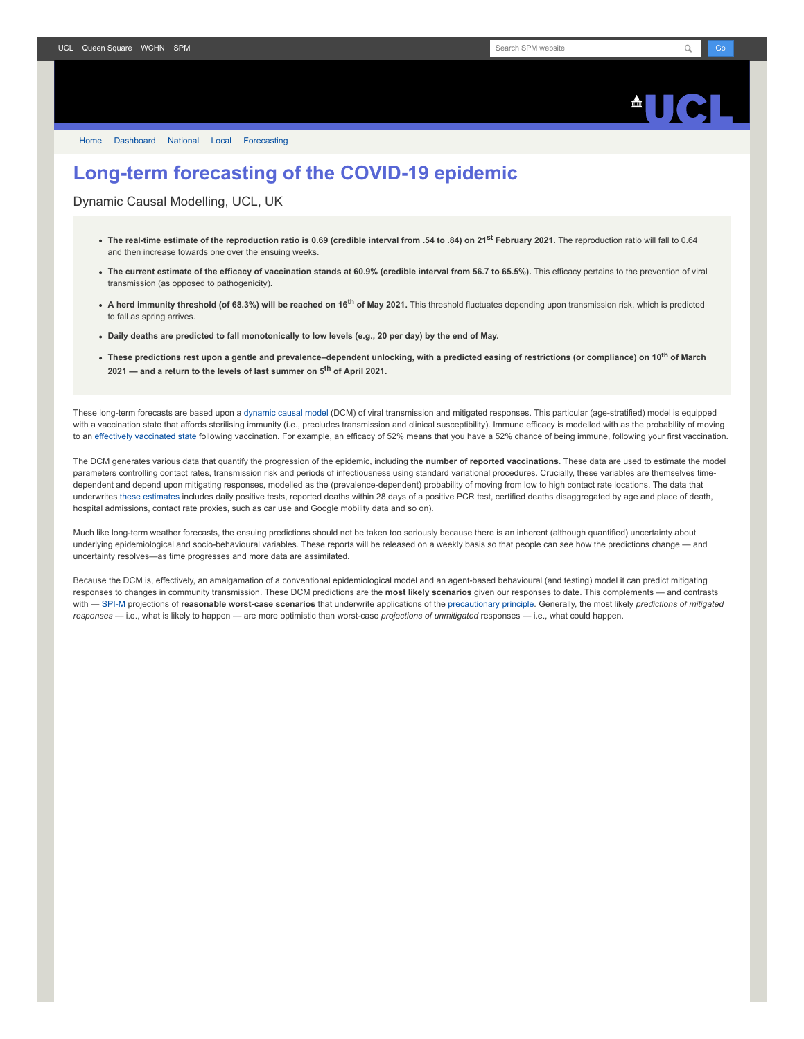

[Home](https://www.fil.ion.ucl.ac.uk/spm/covid-19/) [Dashboard](https://www.fil.ion.ucl.ac.uk/spm/covid-19/dashboard/) [National](https://www.fil.ion.ucl.ac.uk/spm/covid-19/dashboard/) [Local](https://www.fil.ion.ucl.ac.uk/spm/covid-19/dashboard/local/) [Forecasting](https://www.fil.ion.ucl.ac.uk/spm/covid-19/forecasting/)

## **Long-term forecasting of the COVID-19 epidemic**

Dynamic Causal Modelling, UCL, UK

- **The real-time estimate of the reproduction ratio is 0.69 (credible interval from .54 to .84) on 21st February 2021.** The reproduction ratio will fall to 0.64 and then increase towards one over the ensuing weeks.
- **The current estimate of the efficacy of vaccination stands at 60.9% (credible interval from 56.7 to 65.5%).** This efficacy pertains to the prevention of viral transmission (as opposed to pathogenicity).
- **A herd immunity threshold (of 68.3%) will be reached on 16th of May 2021.** This threshold fluctuates depending upon transmission risk, which is predicted to fall as spring arrives.
- **Daily deaths are predicted to fall monotonically to low levels (e.g., 20 per day) by the end of May.**
- **These predictions rest upon a gentle and prevalence–dependent unlocking, with a predicted easing of restrictions (or compliance) on 10th of March 2021 — and a return to the levels of last summer on 5th of April 2021.**

These long-term forecasts are based upon a [dynamic causal model](https://www.fil.ion.ucl.ac.uk/spm/covid-19) (DCM) of viral transmission and mitigated responses. This particular (age-stratified) model is equipped with a vaccination state that affords sterilising immunity (i.e., precludes transmission and clinical susceptibility). Immune efficacy is modelled with as the probability of moving to an [effectively vaccinated state](https://www.medrxiv.org/content/10.1101/2021.01.10.21249520v1) following vaccination. For example, an efficacy of 52% means that you have a 52% chance of being immune, following your first vaccination.

The DCM generates various data that quantify the progression of the epidemic, including **the number of reported vaccinations**. These data are used to estimate the model parameters controlling contact rates, transmission risk and periods of infectiousness using standard variational procedures. Crucially, these variables are themselves timedependent and depend upon mitigating responses, modelled as the (prevalence-dependent) probability of moving from low to high contact rate locations. The data that underwrites [these estimates](https://www.fil.ion.ucl.ac.uk/spm/covid-19/dashboard/) includes daily positive tests, reported deaths within 28 days of a positive PCR test, certified deaths disaggregated by age and place of death, hospital admissions, contact rate proxies, such as car use and Google mobility data and so on).

Much like long-term weather forecasts, the ensuing predictions should not be taken too seriously because there is an inherent (although quantified) uncertainty about underlying epidemiological and socio-behavioural variables. These reports will be released on a weekly basis so that people can see how the predictions change — and uncertainty resolves—as time progresses and more data are assimilated.

Because the DCM is, effectively, an amalgamation of a conventional epidemiological model and an agent-based behavioural (and testing) model it can predict mitigating responses to changes in community transmission. These DCM predictions are the **most likely scenarios** given our responses to date. This complements — and contrasts with — [SPI-M](https://www.gov.uk/government/groups/scientific-pandemic-influenza-subgroup-on-modelling) projections of **reasonable worst-case scenarios** that underwrite applications of the [precautionary principle.](https://en.wikipedia.org/wiki/Precautionary_principle) Generally, the most likely *predictions of mitigated responses* — i.e., what is likely to happen — are more optimistic than worst-case *projections of unmitigated* responses — i.e., what could happen.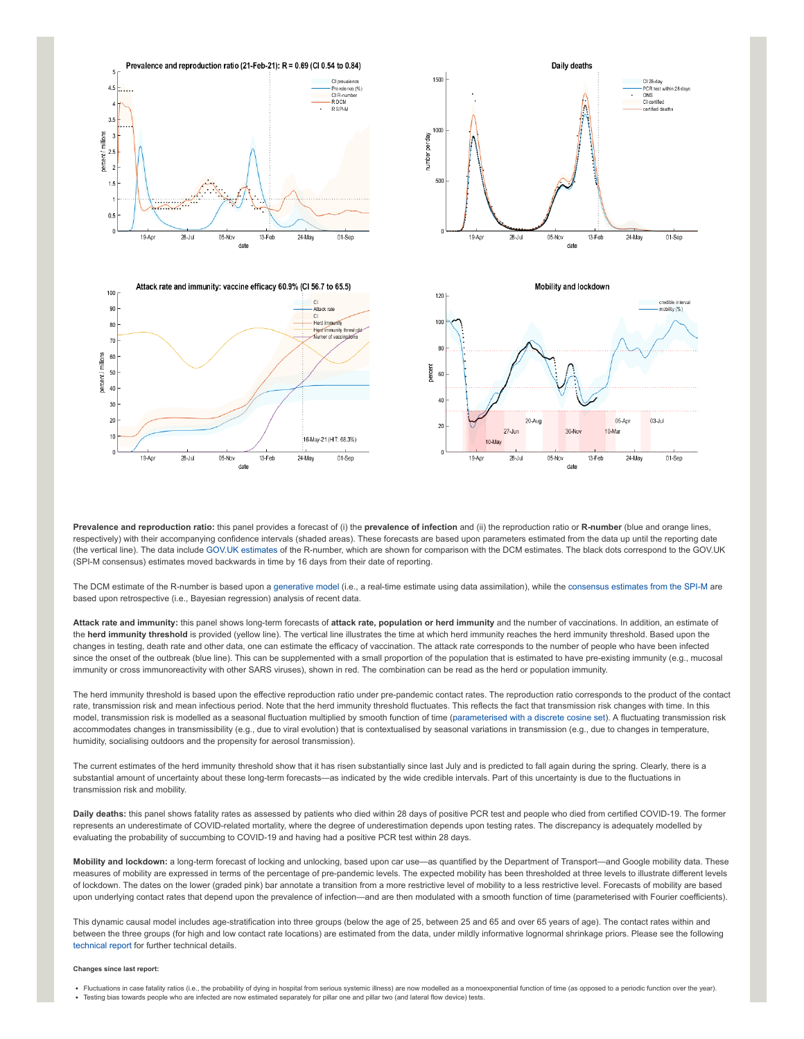

**Prevalence and reproduction ratio:** this panel provides a forecast of (i) the **prevalence of infection** and (ii) the reproduction ratio or **R-number** (blue and orange lines, respectively) with their accompanying confidence intervals (shaded areas). These forecasts are based upon parameters estimated from the data up until the reporting date (the vertical line). The data include [GOV.UK estimates](https://www.gov.uk/guidance/the-r-number-in-the-uk#latest-r-and-growth-rate) of the R-number, which are shown for comparison with the DCM estimates. The black dots correspond to the GOV.UK (SPI-M consensus) estimates moved backwards in time by 16 days from their date of reporting.

The DCM estimate of the R-number is based upon a [generative model](https://en.wikipedia.org/wiki/Generative_model) (i.e., a real-time estimate using data assimilation), while the [consensus estimates from the SPI-M](https://www.gov.uk/guidance/the-r-number-in-the-uk#contents) are based upon retrospective (i.e., Bayesian regression) analysis of recent data.

**Attack rate and immunity:** this panel shows long-term forecasts of **attack rate, population or herd immunity** and the number of vaccinations. In addition, an estimate of the **herd immunity threshold** is provided (yellow line). The vertical line illustrates the time at which herd immunity reaches the herd immunity threshold. Based upon the changes in testing, death rate and other data, one can estimate the efficacy of vaccination. The attack rate corresponds to the number of people who have been infected since the onset of the outbreak (blue line). This can be supplemented with a small proportion of the population that is estimated to have pre-existing immunity (e.g., mucosal immunity or cross immunoreactivity with other SARS viruses), shown in red. The combination can be read as the herd or population immunity.

The herd immunity threshold is based upon the effective reproduction ratio under pre-pandemic contact rates. The reproduction ratio corresponds to the product of the contact rate, transmission risk and mean infectious period. Note that the herd immunity threshold fluctuates. This reflects the fact that transmission risk changes with time. In this model, transmission risk is modelled as a seasonal fluctuation multiplied by smooth function of time ([parameterised with a discrete cosine set](https://www.medrxiv.org/content/10.1101/2021.01.10.21249520v1)). A fluctuating transmission risk accommodates changes in transmissibility (e.g., due to viral evolution) that is contextualised by seasonal variations in transmission (e.g., due to changes in temperature, humidity, socialising outdoors and the propensity for aerosol transmission).

The current estimates of the herd immunity threshold show that it has risen substantially since last July and is predicted to fall again during the spring. Clearly, there is a substantial amount of uncertainty about these long-term forecasts—as indicated by the wide credible intervals. Part of this uncertainty is due to the fluctuations in transmission risk and mobility.

**Daily deaths:** this panel shows fatality rates as assessed by patients who died within 28 days of positive PCR test and people who died from certified COVID-19. The former represents an underestimate of COVID-related mortality, where the degree of underestimation depends upon testing rates. The discrepancy is adequately modelled by evaluating the probability of succumbing to COVID-19 and having had a positive PCR test within 28 days.

**Mobility and lockdown:** a long-term forecast of locking and unlocking, based upon car use—as quantified by the Department of Transport—and Google mobility data. These measures of mobility are expressed in terms of the percentage of pre-pandemic levels. The expected mobility has been thresholded at three levels to illustrate different levels of lockdown. The dates on the lower (graded pink) bar annotate a transition from a more restrictive level of mobility to a less restrictive level. Forecasts of mobility are based upon underlying contact rates that depend upon the prevalence of infection—and are then modulated with a smooth function of time (parameterised with Fourier coefficients).

This dynamic causal model includes age-stratification into three groups (below the age of 25, between 25 and 65 and over 65 years of age). The contact rates within and between the three groups (for high and low contact rate locations) are estimated from the data, under mildly informative lognormal shrinkage priors. Please see the following [technical report](https://arxiv.org/abs/2011.12400) for further technical details.

## **Changes since last report:**

- Fluctuations in case fatality ratios (i.e., the probability of dying in hospital from serious systemic illness) are now modelled as a monoexponential function of time (as opposed to a periodic function over the year).
- Testing bias towards people who are infected are now estimated separately for pillar one and pillar two (and lateral flow device) tests.